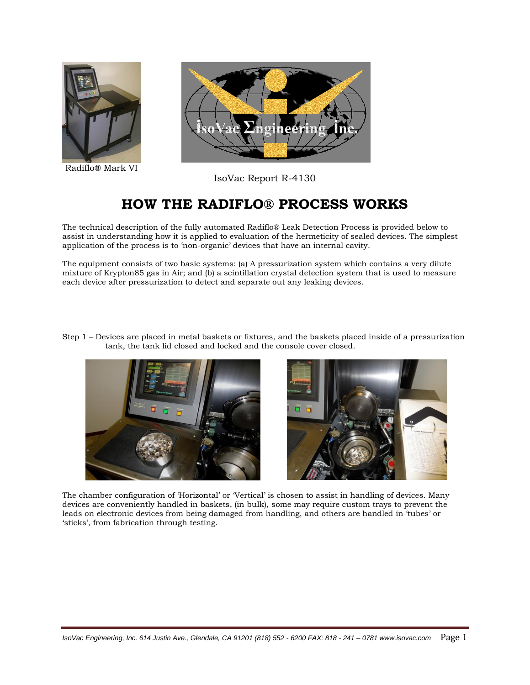

Radiflo**®** Mark VI



IsoVac Report R-4130

## **HOW THE RADIFLO® PROCESS WORKS**

The technical description of the fully automated Radiflo® Leak Detection Process is provided below to assist in understanding how it is applied to evaluation of the hermeticity of sealed devices. The simplest application of the process is to "non-organic" devices that have an internal cavity.

The equipment consists of two basic systems: (a) A pressurization system which contains a very dilute mixture of Krypton85 gas in Air; and (b) a scintillation crystal detection system that is used to measure each device after pressurization to detect and separate out any leaking devices.



The chamber configuration of "Horizontal" or "Vertical" is chosen to assist in handling of devices. Many devices are conveniently handled in baskets, (in bulk), some may require custom trays to prevent the leads on electronic devices from being damaged from handling, and others are handled in "tubes" or 'sticks', from fabrication through testing.

Step 1 – Devices are placed in metal baskets or fixtures, and the baskets placed inside of a pressurization tank, the tank lid closed and locked and the console cover closed.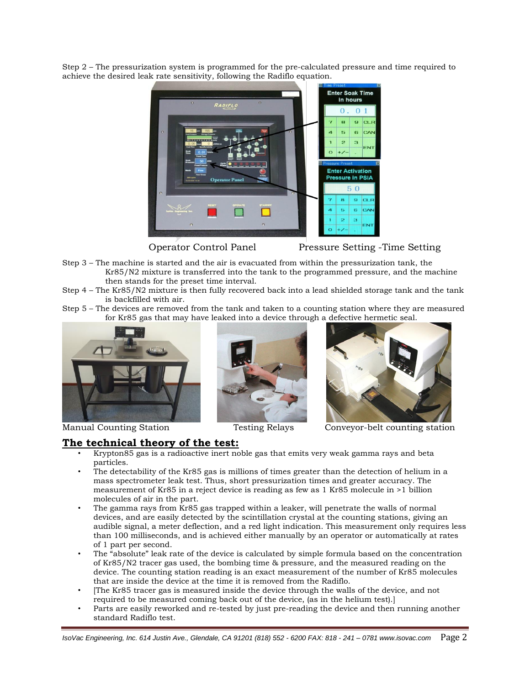Step 2 – The pressurization system is programmed for the pre-calculated pressure and time required to achieve the desired leak rate sensitivity, following the Radiflo equation.



Operator Control Panel Pressure Setting -Time Setting

- Step 3 The machine is started and the air is evacuated from within the pressurization tank, the Kr85/N2 mixture is transferred into the tank to the programmed pressure, and the machine then stands for the preset time interval.
- Step 4 The Kr85/N2 mixture is then fully recovered back into a lead shielded storage tank and the tank is backfilled with air.
- Step 5 The devices are removed from the tank and taken to a counting station where they are measured for Kr85 gas that may have leaked into a device through a defective hermetic seal.







Manual Counting Station Testing Relays Conveyor-belt counting station

## **The technical theory of the test:**

- Krypton85 gas is a radioactive inert noble gas that emits very weak gamma rays and beta particles.
- The detectability of the Kr85 gas is millions of times greater than the detection of helium in a mass spectrometer leak test. Thus, short pressurization times and greater accuracy. The measurement of Kr85 in a reject device is reading as few as 1 Kr85 molecule in >1 billion molecules of air in the part.
- The gamma rays from Kr85 gas trapped within a leaker, will penetrate the walls of normal devices, and are easily detected by the scintillation crystal at the counting stations, giving an audible signal, a meter deflection, and a red light indication. This measurement only requires less than 100 milliseconds, and is achieved either manually by an operator or automatically at rates of 1 part per second.
- The "absolute" leak rate of the device is calculated by simple formula based on the concentration of Kr85/N2 tracer gas used, the bombing time & pressure, and the measured reading on the device. The counting station reading is an exact measurement of the number of Kr85 molecules that are inside the device at the time it is removed from the Radiflo.
- [The Kr85 tracer gas is measured inside the device through the walls of the device, and not required to be measured coming back out of the device, (as in the helium test).]
- Parts are easily reworked and re-tested by just pre-reading the device and then running another standard Radiflo test.